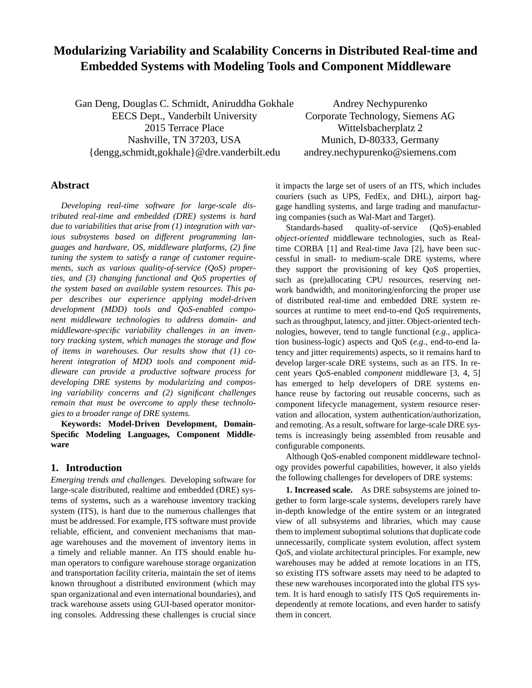# **Modularizing Variability and Scalability Concerns in Distributed Real-time and Embedded Systems with Modeling Tools and Component Middleware**

Gan Deng, Douglas C. Schmidt, Aniruddha Gokhale Andrey Nechypurenko EECS Dept., Vanderbilt University Corporate Technology, Siemens AG 2015 Terrace Place Wittelsbacherplatz 2 Nashville, TN 37203, USA Munich, D-80333, Germany {dengg,schmidt,gokhale}@dre.vanderbilt.edu andrey.nechypurenko@siemens.com

### **Abstract**

*Developing real-time software for large-scale distributed real-time and embedded (DRE) systems is hard due to variabilities that arise from (1) integration with various subsystems based on different programming languages and hardware, OS, middleware platforms, (2) fine tuning the system to satisfy a range of customer requirements, such as various quality-of-service (QoS) properties, and (3) changing functional and QoS properties of the system based on available system resources. This paper describes our experience applying model-driven development (MDD) tools and QoS-enabled component middleware technologies to address domain- and middleware-specific variability challenges in an inventory tracking system, which manages the storage and flow of items in warehouses. Our results show that (1) coherent integration of MDD tools and component middleware can provide a productive software process for developing DRE systems by modularizing and composing variability concerns and (2) significant challenges remain that must be overcome to apply these technologies to a broader range of DRE systems.*

**Keywords: Model-Driven Development, Domain-Specific Modeling Languages, Component Middleware**

# **1. Introduction**

*Emerging trends and challenges.* Developing software for large-scale distributed, realtime and embedded (DRE) systems of systems, such as a warehouse inventory tracking system (ITS), is hard due to the numerous challenges that must be addressed. For example, ITS software must provide reliable, efficient, and convenient mechanisms that manage warehouses and the movement of inventory items in a timely and reliable manner. An ITS should enable human operators to configure warehouse storage organization and transportation facility criteria, maintain the set of items known throughout a distributed environment (which may span organizational and even international boundaries), and track warehouse assets using GUI-based operator monitoring consoles. Addressing these challenges is crucial since

it impacts the large set of users of an ITS, which includes couriers (such as UPS, FedEx, and DHL), airport baggage handling systems, and large trading and manufacturing companies (such as Wal-Mart and Target).

Standards-based quality-of-service (QoS)-enabled *object-oriented* middleware technologies, such as Realtime CORBA [1] and Real-time Java [2], have been successful in small- to medium-scale DRE systems, where they support the provisioning of key QoS properties, such as (pre)allocating CPU resources, reserving network bandwidth, and monitoring/enforcing the proper use of distributed real-time and embedded DRE system resources at runtime to meet end-to-end QoS requirements, such as throughput, latency, and jitter. Object-oriented technologies, however, tend to tangle functional (*e.g.*, application business-logic) aspects and QoS (*e.g.*, end-to-end latency and jitter requirements) aspects, so it remains hard to develop larger-scale DRE systems, such as an ITS. In recent years QoS-enabled *component* middleware [3, 4, 5] has emerged to help developers of DRE systems enhance reuse by factoring out reusable concerns, such as component lifecycle management, system resource reservation and allocation, system authentication/authorization, and remoting. As a result, software for large-scale DRE systems is increasingly being assembled from reusable and configurable components.

Although QoS-enabled component middleware technology provides powerful capabilities, however, it also yields the following challenges for developers of DRE systems:

**1. Increased scale.** As DRE subsystems are joined together to form large-scale systems, developers rarely have in-depth knowledge of the entire system or an integrated view of all subsystems and libraries, which may cause them to implement suboptimal solutions that duplicate code unnecessarily, complicate system evolution, affect system QoS, and violate architectural principles. For example, new warehouses may be added at remote locations in an ITS, so existing ITS software assets may need to be adapted to these new warehouses incorporated into the global ITS system. It is hard enough to satisfy ITS QoS requirements independently at remote locations, and even harder to satisfy them in concert.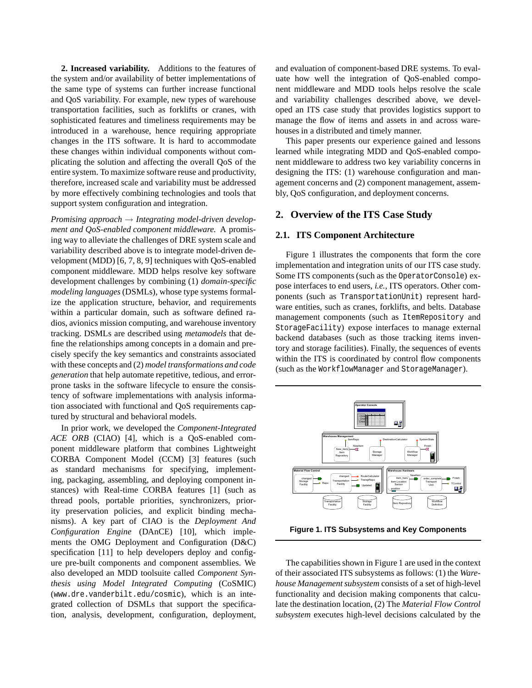**2. Increased variability.** Additions to the features of the system and/or availability of better implementations of the same type of systems can further increase functional and QoS variability. For example, new types of warehouse transportation facilities, such as forklifts or cranes, with sophisticated features and timeliness requirements may be introduced in a warehouse, hence requiring appropriate changes in the ITS software. It is hard to accommodate these changes within individual components without complicating the solution and affecting the overall QoS of the entire system. To maximize software reuse and productivity, therefore, increased scale and variability must be addressed by more effectively combining technologies and tools that support system configuration and integration.

*Promising approach* → *Integrating model-driven development and QoS-enabled component middleware.* A promising way to alleviate the challenges of DRE system scale and variability described above is to integrate model-driven development (MDD) [6, 7, 8, 9] techniques with QoS-enabled component middleware. MDD helps resolve key software development challenges by combining (1) *domain-specific modeling languages* (DSMLs), whose type systems formalize the application structure, behavior, and requirements within a particular domain, such as software defined radios, avionics mission computing, and warehouse inventory tracking. DSMLs are described using *metamodels* that define the relationships among concepts in a domain and precisely specify the key semantics and constraints associated with these concepts and (2) *model transformations and code generation* that help automate repetitive, tedious, and errorprone tasks in the software lifecycle to ensure the consistency of software implementations with analysis information associated with functional and QoS requirements captured by structural and behavioral models.

In prior work, we developed the *Component-Integrated ACE ORB* (CIAO) [4], which is a QoS-enabled component middleware platform that combines Lightweight CORBA Component Model (CCM) [3] features (such as standard mechanisms for specifying, implementing, packaging, assembling, and deploying component instances) with Real-time CORBA features [1] (such as thread pools, portable priorities, synchronizers, priority preservation policies, and explicit binding mechanisms). A key part of CIAO is the *Deployment And Configuration Engine* (DAnCE) [10], which implements the OMG Deployment and Configuration (D&C) specification [11] to help developers deploy and configure pre-built components and component assemblies. We also developed an MDD toolsuite called *Component Synthesis using Model Integrated Computing* (CoSMIC) (www.dre.vanderbilt.edu/cosmic), which is an integrated collection of DSMLs that support the specification, analysis, development, configuration, deployment,

and evaluation of component-based DRE systems. To evaluate how well the integration of QoS-enabled component middleware and MDD tools helps resolve the scale and variability challenges described above, we developed an ITS case study that provides logistics support to manage the flow of items and assets in and across warehouses in a distributed and timely manner.

This paper presents our experience gained and lessons learned while integrating MDD and QoS-enabled component middleware to address two key variability concerns in designing the ITS: (1) warehouse configuration and management concerns and (2) component management, assembly, QoS configuration, and deployment concerns.

#### **2. Overview of the ITS Case Study**

#### **2.1. ITS Component Architecture**

Figure 1 illustrates the components that form the core implementation and integration units of our ITS case study. Some ITS components (such as the OperatorConsole) expose interfaces to end users, *i.e.*, ITS operators. Other components (such as TransportationUnit) represent hardware entities, such as cranes, forklifts, and belts. Database management components (such as ItemRepository and StorageFacility) expose interfaces to manage external backend databases (such as those tracking items inventory and storage facilities). Finally, the sequences of events within the ITS is coordinated by control flow components (such as the WorkflowManager and StorageManager).



**Figure 1. ITS Subsystems and Key Components**

The capabilities shown in Figure 1 are used in the context of their associated ITS subsystems as follows: (1) the *Warehouse Management subsystem* consists of a set of high-level functionality and decision making components that calculate the destination location, (2) The *Material Flow Control subsystem* executes high-level decisions calculated by the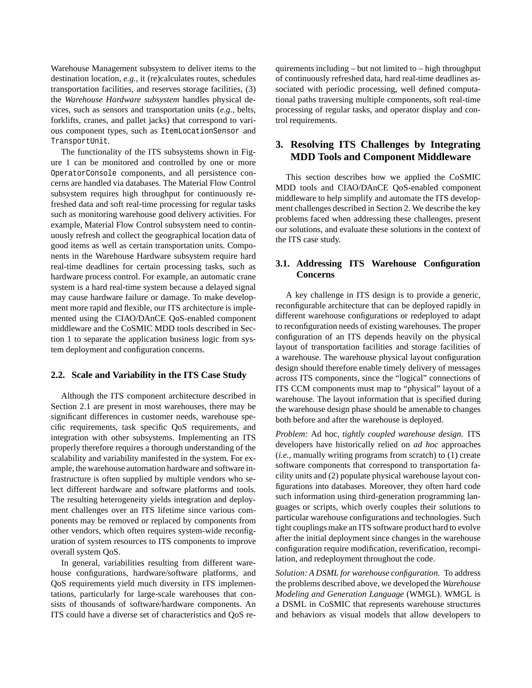Warehouse Management subsystem to deliver items to the destination location, *e.g.*, it (re)calculates routes, schedules transportation facilities, and reserves storage facilities, (3) the *Warehouse Hardware subsystem* handles physical devices, such as sensors and transportation units (*e.g.*, belts, forklifts, cranes, and pallet jacks) that correspond to various component types, such as ItemLocationSensor and TransportUnit.

The functionality of the ITS subsystems shown in Figure 1 can be monitored and controlled by one or more OperatorConsole components, and all persistence concerns are handled via databases. The Material Flow Control subsystem requires high throughput for continuously refreshed data and soft real-time processing for regular tasks such as monitoring warehouse good delivery activities. For example, Material Flow Control subsystem need to continuously refresh and collect the geographical location data of good items as well as certain transportation units. Components in the Warehouse Hardware subsystem require hard real-time deadlines for certain processing tasks, such as hardware process control. For example, an automatic crane system is a hard real-time system because a delayed signal may cause hardware failure or damage. To make development more rapid and flexible, our ITS architecture is implemented using the CIAO/DAnCE QoS-enabled component middleware and the CoSMIC MDD tools described in Section 1 to separate the application business logic from system deployment and configuration concerns.

#### **2.2. Scale and Variability in the ITS Case Study**

Although the ITS component architecture described in Section 2.1 are present in most warehouses, there may be significant differences in customer needs, warehouse specific requirements, task specific QoS requirements, and integration with other subsystems. Implementing an ITS properly therefore requires a thorough understanding of the scalability and variability manifested in the system. For example, the warehouse automation hardware and software infrastructure is often supplied by multiple vendors who select different hardware and software platforms and tools. The resulting heterogeneity yields integration and deployment challenges over an ITS lifetime since various components may be removed or replaced by components from other vendors, which often requires system-wide reconfiguration of system resources to ITS components to improve overall system QoS.

In general, variabilities resulting from different warehouse configurations, hardware/software platforms, and QoS requirements yield much diversity in ITS implementations, particularly for large-scale warehouses that consists of thousands of software/hardware components. An ITS could have a diverse set of characteristics and QoS requirements including – but not limited to – high throughput of continuously refreshed data, hard real-time deadlines associated with periodic processing, well defined computational paths traversing multiple components, soft real-time processing of regular tasks, and operator display and control requirements.

# **3. Resolving ITS Challenges by Integrating MDD Tools and Component Middleware**

This section describes how we applied the CoSMIC MDD tools and CIAO/DAnCE QoS-enabled component middleware to help simplify and automate the ITS development challenges described in Section 2. We describe the key problems faced when addressing these challenges, present our solutions, and evaluate these solutions in the context of the ITS case study.

# **3.1. Addressing ITS Warehouse Configuration Concerns**

A key challenge in ITS design is to provide a generic, reconfigurable architecture that can be deployed rapidly in different warehouse configurations or redeployed to adapt to reconfiguration needs of existing warehouses. The proper configuration of an ITS depends heavily on the physical layout of transportation facilities and storage facilities of a warehouse. The warehouse physical layout configuration design should therefore enable timely delivery of messages across ITS components, since the "logical" connections of ITS CCM components must map to "physical" layout of a warehouse. The layout information that is specified during the warehouse design phase should be amenable to changes both before and after the warehouse is deployed.

*Problem:* Ad hoc*, tightly coupled warehouse design.* ITS developers have historically relied on *ad hoc* approaches (*i.e.*, manually writing programs from scratch) to (1) create software components that correspond to transportation facility units and (2) populate physical warehouse layout configurations into databases. Moreover, they often hard code such information using third-generation programming languages or scripts, which overly couples their solutions to particular warehouse configurations and technologies. Such tight couplings make an ITS software product hard to evolve after the initial deployment since changes in the warehouse configuration require modification, reverification, recompilation, and redeployment throughout the code.

*Solution: A DSML for warehouse configuration.* To address the problems described above, we developed the *Warehouse Modeling and Generation Language* (WMGL). WMGL is a DSML in CoSMIC that represents warehouse structures and behaviors as visual models that allow developers to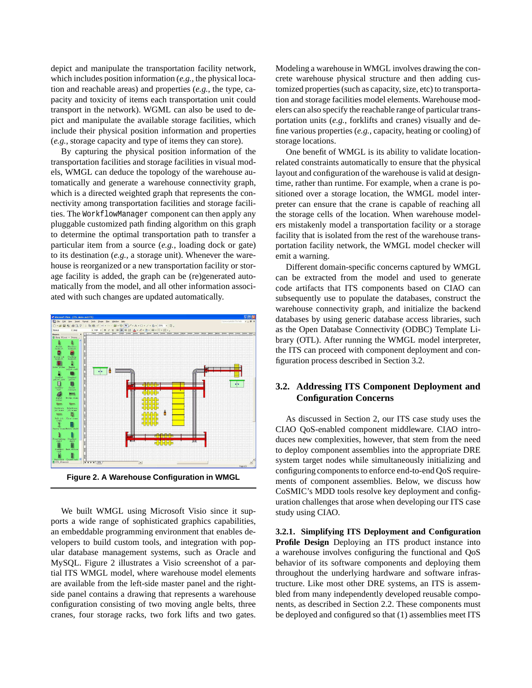depict and manipulate the transportation facility network, which includes position information (*e.g.*, the physical location and reachable areas) and properties (*e.g.*, the type, capacity and toxicity of items each transportation unit could transport in the network). WGML can also be used to depict and manipulate the available storage facilities, which include their physical position information and properties (*e.g.*, storage capacity and type of items they can store).

By capturing the physical position information of the transportation facilities and storage facilities in visual models, WMGL can deduce the topology of the warehouse automatically and generate a warehouse connectivity graph, which is a directed weighted graph that represents the connectivity among transportation facilities and storage facilities. The WorkflowManager component can then apply any pluggable customized path finding algorithm on this graph to determine the optimal transportation path to transfer a particular item from a source (*e.g.*, loading dock or gate) to its destination (*e.g.*, a storage unit). Whenever the warehouse is reorganized or a new transportation facility or storage facility is added, the graph can be (re)generated automatically from the model, and all other information associated with such changes are updated automatically.



**Figure 2. A Warehouse Configuration in WMGL**

We built WMGL using Microsoft Visio since it supports a wide range of sophisticated graphics capabilities, an embeddable programming environment that enables developers to build custom tools, and integration with popular database management systems, such as Oracle and MySQL. Figure 2 illustrates a Visio screenshot of a partial ITS WMGL model, where warehouse model elements are available from the left-side master panel and the rightside panel contains a drawing that represents a warehouse configuration consisting of two moving angle belts, three cranes, four storage racks, two fork lifts and two gates.

Modeling a warehouse in WMGL involves drawing the concrete warehouse physical structure and then adding customized properties (such as capacity, size, etc) to transportation and storage facilities model elements. Warehouse modelers can also specify the reachable range of particular transportation units (*e.g.*, forklifts and cranes) visually and define various properties (*e.g.*, capacity, heating or cooling) of storage locations.

One benefit of WMGL is its ability to validate locationrelated constraints automatically to ensure that the physical layout and configuration of the warehouse is valid at designtime, rather than runtime. For example, when a crane is positioned over a storage location, the WMGL model interpreter can ensure that the crane is capable of reaching all the storage cells of the location. When warehouse modelers mistakenly model a transportation facility or a storage facility that is isolated from the rest of the warehouse transportation facility network, the WMGL model checker will emit a warning.

Different domain-specific concerns captured by WMGL can be extracted from the model and used to generate code artifacts that ITS components based on CIAO can subsequently use to populate the databases, construct the warehouse connectivity graph, and initialize the backend databases by using generic database access libraries, such as the Open Database Connectivity (ODBC) Template Library (OTL). After running the WMGL model interpreter, the ITS can proceed with component deployment and configuration process described in Section 3.2.

### **3.2. Addressing ITS Component Deployment and Configuration Concerns**

As discussed in Section 2, our ITS case study uses the CIAO QoS-enabled component middleware. CIAO introduces new complexities, however, that stem from the need to deploy component assemblies into the appropriate DRE system target nodes while simultaneously initializing and configuring components to enforce end-to-end QoS requirements of component assemblies. Below, we discuss how CoSMIC's MDD tools resolve key deployment and configuration challenges that arose when developing our ITS case study using CIAO.

**3.2.1. Simplifying ITS Deployment and Configuration Profile Design** Deploying an ITS product instance into a warehouse involves configuring the functional and QoS behavior of its software components and deploying them throughout the underlying hardware and software infrastructure. Like most other DRE systems, an ITS is assembled from many independently developed reusable components, as described in Section 2.2. These components must be deployed and configured so that (1) assemblies meet ITS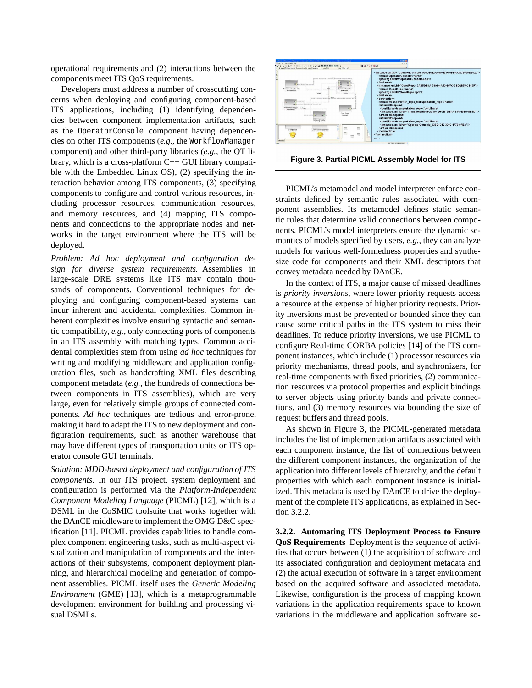operational requirements and (2) interactions between the components meet ITS QoS requirements.

Developers must address a number of crosscutting concerns when deploying and configuring component-based ITS applications, including (1) identifying dependencies between component implementation artifacts, such as the OperatorConsole component having dependencies on other ITS components (*e.g.*, the WorkflowManager component) and other third-party libraries (*e.g.*, the QT library, which is a cross-platform C++ GUI library compatible with the Embedded Linux OS), (2) specifying the interaction behavior among ITS components, (3) specifying components to configure and control various resources, including processor resources, communication resources, and memory resources, and (4) mapping ITS components and connections to the appropriate nodes and networks in the target environment where the ITS will be deployed.

*Problem: Ad hoc deployment and configuration design for diverse system requirements.* Assemblies in large-scale DRE systems like ITS may contain thousands of components. Conventional techniques for deploying and configuring component-based systems can incur inherent and accidental complexities. Common inherent complexities involve ensuring syntactic and semantic compatibility, *e.g.*, only connecting ports of components in an ITS assembly with matching types. Common accidental complexities stem from using *ad hoc* techniques for writing and modifying middleware and application configuration files, such as handcrafting XML files describing component metadata (*e.g.*, the hundreds of connections between components in ITS assemblies), which are very large, even for relatively simple groups of connected components. *Ad hoc* techniques are tedious and error-prone, making it hard to adapt the ITS to new deployment and configuration requirements, such as another warehouse that may have different types of transportation units or ITS operator console GUI terminals.

*Solution: MDD-based deployment and configuration of ITS components.* In our ITS project, system deployment and configuration is performed via the *Platform-Independent Component Modeling Language* (PICML) [12], which is a DSML in the CoSMIC toolsuite that works together with the DAnCE middleware to implement the OMG D&C specification [11]. PICML provides capabilities to handle complex component engineering tasks, such as multi-aspect visualization and manipulation of components and the interactions of their subsystems, component deployment planning, and hierarchical modeling and generation of component assemblies. PICML itself uses the *Generic Modeling Environment* (GME) [13], which is a metaprogrammable development environment for building and processing visual DSMLs.



**Figure 3. Partial PICML Assembly Model for ITS**

PICML's metamodel and model interpreter enforce constraints defined by semantic rules associated with component assemblies. Its metamodel defines static semantic rules that determine valid connections between components. PICML's model interpreters ensure the dynamic semantics of models specified by users, *e.g.*, they can analyze models for various well-formedness properties and synthesize code for components and their XML descriptors that convey metadata needed by DAnCE.

In the context of ITS, a major cause of missed deadlines is *priority inversions*, where lower priority requests access a resource at the expense of higher priority requests. Priority inversions must be prevented or bounded since they can cause some critical paths in the ITS system to miss their deadlines. To reduce priority inversions, we use PICML to configure Real-time CORBA policies [14] of the ITS component instances, which include (1) processor resources via priority mechanisms, thread pools, and synchronizers, for real-time components with fixed priorities, (2) communication resources via protocol properties and explicit bindings to server objects using priority bands and private connections, and (3) memory resources via bounding the size of request buffers and thread pools.

As shown in Figure 3, the PICML-generated metadata includes the list of implementation artifacts associated with each component instance, the list of connections between the different component instances, the organization of the application into different levels of hierarchy, and the default properties with which each component instance is initialized. This metadata is used by DAnCE to drive the deployment of the complete ITS applications, as explained in Section 3.2.2.

**3.2.2. Automating ITS Deployment Process to Ensure QoS Requirements** Deployment is the sequence of activities that occurs between (1) the acquisition of software and its associated configuration and deployment metadata and (2) the actual execution of software in a target environment based on the acquired software and associated metadata. Likewise, configuration is the process of mapping known variations in the application requirements space to known variations in the middleware and application software so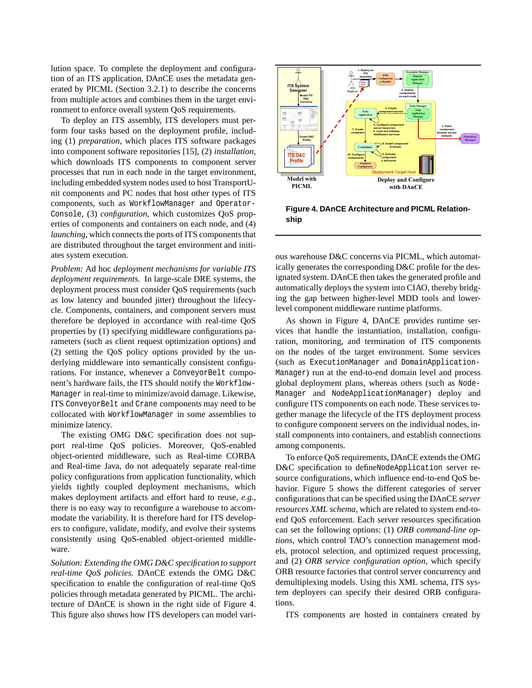lution space. To complete the deployment and configuration of an ITS application, DAnCE uses the metadata generated by PICML (Section 3.2.1) to describe the concerns from multiple actors and combines them in the target environment to enforce overall system QoS requirements.

To deploy an ITS assembly, ITS developers must perform four tasks based on the deployment profile, including (1) *preparation*, which places ITS software packages into component software repositories [15], (2) *installation*, which downloads ITS components to component server processes that run in each node in the target environment, including embedded system nodes used to host TransportUnit components and PC nodes that host other types of ITS components, such as WorkflowManager and Operator-Console, (3) *configuration*, which customizes QoS properties of components and containers on each node, and (4) *launching*, which connects the ports of ITS components that are distributed throughout the target environment and initiates system execution.

*Problem:* Ad hoc *deployment mechanisms for variable ITS deployment requirements.* In large-scale DRE systems, the deployment process must consider QoS requirements (such as low latency and bounded jitter) throughout the lifecycle. Components, containers, and component servers must therefore be deployed in accordance with real-time QoS properties by (1) specifying middleware configurations parameters (such as client request optimization options) and (2) setting the QoS policy options provided by the underlying middleware into semantically consistent configurations. For instance, whenever a ConveyorBelt component's hardware fails, the ITS should notify the Workflow-Manager in real-time to minimize/avoid damage. Likewise, ITS ConveyorBelt and Crane components may need to be collocated with WorkflowManager in some assemblies to minimize latency.

The existing OMG D&C specification does not support real-time QoS policies. Moreover, QoS-enabled object-oriented middleware, such as Real-time CORBA and Real-time Java, do not adequately separate real-time policy configurations from application functionality, which yields tightly coupled deployment mechanisms, which makes deployment artifacts and effort hard to reuse, *e.g.*, there is no easy way to reconfigure a warehouse to accommodate the variability. It is therefore hard for ITS developers to configure, validate, modify, and evolve their systems consistently using QoS-enabled object-oriented middleware.

*Solution: Extending the OMG D&C specification to support real-time QoS policies.* DAnCE extends the OMG D&C specification to enable the configuration of real-time QoS policies through metadata generated by PICML. The architecture of DAnCE is shown in the right side of Figure 4. This figure also shows how ITS developers can model vari-



**Figure 4. DAnCE Architecture and PICML Relationship**

ous warehouse D&C concerns via PICML, which automatically generates the corresponding D&C profile for the designated system. DAnCE then takes the generated profile and automatically deploys the system into CIAO, thereby bridging the gap between higher-level MDD tools and lowerlevel component middleware runtime platforms.

As shown in Figure 4, DAnCE provides runtime services that handle the instantiation, installation, configuration, monitoring, and termination of ITS components on the nodes of the target environment. Some services (such as ExecutionManager and DomainApplication-Manager) run at the end-to-end domain level and process global deployment plans, whereas others (such as Node-Manager and NodeApplicationManager) deploy and configure ITS components on each node. These services together manage the lifecycle of the ITS deployment process to configure component servers on the individual nodes, install components into containers, and establish connections among components.

To enforce QoS requirements, DAnCE extends the OMG D&C specification to defineNodeApplication server resource configurations, which influence end-to-end QoS behavior. Figure 5 shows the different categories of server configurationsthat can be specified using the DAnCE *server resources XML schema*, which are related to system end-toend QoS enforcement. Each server resources specification can set the following options: (1) *ORB command-line options*, which control TAO's connection management models, protocol selection, and optimized request processing, and (2) *ORB service configuration option*, which specify ORB resource factories that control server concurrency and demultiplexing models. Using this XML schema, ITS system deployers can specify their desired ORB configurations.

ITS components are hosted in containers created by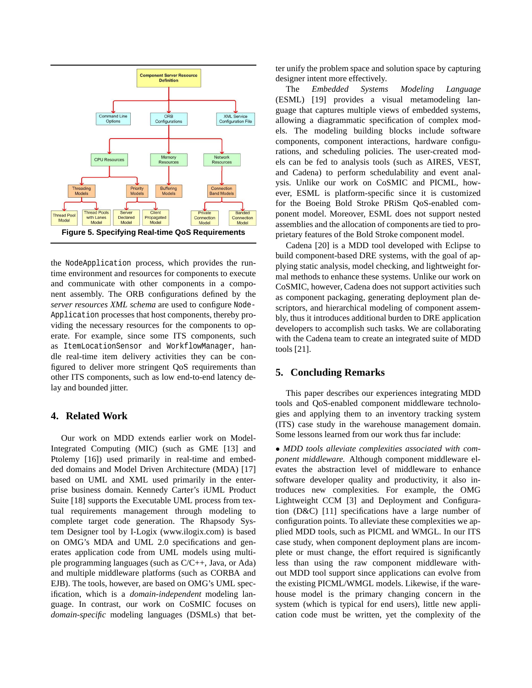

the NodeApplication process, which provides the runtime environment and resources for components to execute and communicate with other components in a component assembly. The ORB configurations defined by the *server resources XML schema* are used to configure Node-Application processes that host components, thereby providing the necessary resources for the components to operate. For example, since some ITS components, such as ItemLocationSensor and WorkflowManager, handle real-time item delivery activities they can be configured to deliver more stringent QoS requirements than other ITS components, such as low end-to-end latency delay and bounded jitter.

## **4. Related Work**

Our work on MDD extends earlier work on Model-Integrated Computing (MIC) (such as GME [13] and Ptolemy [16]) used primarily in real-time and embedded domains and Model Driven Architecture (MDA) [17] based on UML and XML used primarily in the enterprise business domain. Kennedy Carter's iUML Product Suite [18] supports the Executable UML process from textual requirements management through modeling to complete target code generation. The Rhapsody System Designer tool by I-Logix (www.ilogix.com) is based on OMG's MDA and UML 2.0 specifications and generates application code from UML models using multiple programming languages (such as C/C++, Java, or Ada) and multiple middleware platforms (such as CORBA and EJB). The tools, however, are based on OMG's UML specification, which is a *domain-independent* modeling language. In contrast, our work on CoSMIC focuses on *domain-specific* modeling languages (DSMLs) that bet-

ter unify the problem space and solution space by capturing designer intent more effectively.

The *Embedded Systems Modeling Language* (ESML) [19] provides a visual metamodeling language that captures multiple views of embedded systems, allowing a diagrammatic specification of complex models. The modeling building blocks include software components, component interactions, hardware configurations, and scheduling policies. The user-created models can be fed to analysis tools (such as AIRES, VEST, and Cadena) to perform schedulability and event analysis. Unlike our work on CoSMIC and PICML, however, ESML is platform-specific since it is customized for the Boeing Bold Stroke PRiSm QoS-enabled component model. Moreover, ESML does not support nested assemblies and the allocation of components are tied to proprietary features of the Bold Stroke component model.

Cadena [20] is a MDD tool developed with Eclipse to build component-based DRE systems, with the goal of applying static analysis, model checking, and lightweight formal methods to enhance these systems. Unlike our work on CoSMIC, however, Cadena does not support activities such as component packaging, generating deployment plan descriptors, and hierarchical modeling of component assembly, thus it introduces additional burden to DRE application developers to accomplish such tasks. We are collaborating with the Cadena team to create an integrated suite of MDD tools [21].

### **5. Concluding Remarks**

This paper describes our experiences integrating MDD tools and QoS-enabled component middleware technologies and applying them to an inventory tracking system (ITS) case study in the warehouse management domain. Some lessons learned from our work thus far include:

• *MDD tools alleviate complexities associated with component middleware.* Although component middleware elevates the abstraction level of middleware to enhance software developer quality and productivity, it also introduces new complexities. For example, the OMG Lightweight CCM [3] and Deployment and Configuration (D&C) [11] specifications have a large number of configuration points. To alleviate these complexities we applied MDD tools, such as PICML and WMGL. In our ITS case study, when component deployment plans are incomplete or must change, the effort required is significantly less than using the raw component middleware without MDD tool support since applications can evolve from the existing PICML/WMGL models. Likewise, if the warehouse model is the primary changing concern in the system (which is typical for end users), little new application code must be written, yet the complexity of the